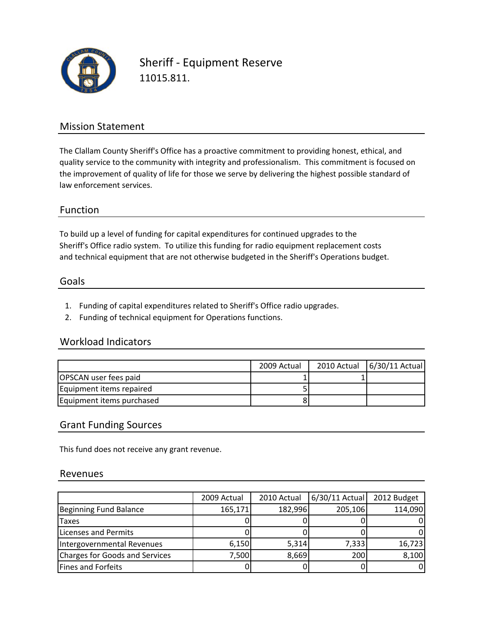

Sheriff ‐ Equipment Reserve 11015.811.

## Mission Statement

The Clallam County Sheriff's Office has a proactive commitment to providing honest, ethical, and quality service to the community with integrity and professionalism. This commitment is focused on the improvement of quality of life for those we serve by delivering the highest possible standard of law enforcement services.

## Function

To build up a level of funding for capital expenditures for continued upgrades to the and technical equipment that are not otherwise budgeted in the Sheriff's Operations budget. Sheriff's Office radio system. To utilize this funding for radio equipment replacement costs

### Goals

- 1. Funding of capital expenditures related to Sheriff's Office radio upgrades.
- 2. Funding of technical equipment for Operations functions.

#### Workload Indicators

|                           | 2009 Actual | 2010 Actual   6/30/11 Actual |
|---------------------------|-------------|------------------------------|
| OPSCAN user fees paid     |             |                              |
| Equipment items repaired  |             |                              |
| Equipment items purchased |             |                              |

## Grant Funding Sources

This fund does not receive any grant revenue.

#### Revenues

|                                | 2009 Actual | 2010 Actual | 6/30/11 Actual | 2012 Budget |
|--------------------------------|-------------|-------------|----------------|-------------|
| Beginning Fund Balance         | 165,171     | 182,996     | 205,106        | 114,090     |
| <b>Taxes</b>                   |             |             |                |             |
| Licenses and Permits           |             |             |                |             |
| Intergovernmental Revenues     | 6,150       | 5,314       | 7,333          | 16,723      |
| Charges for Goods and Services | 7,500       | 8,669       | 200            | 8,100       |
| <b>Fines and Forfeits</b>      |             |             |                |             |